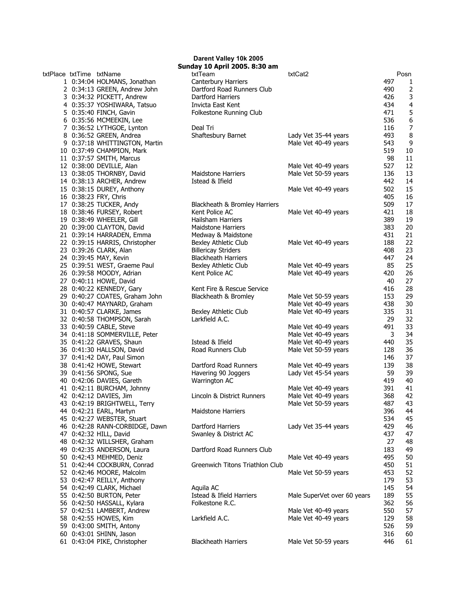txtPlace txtTime txtName 1 0:34:04 HOLMANS, Jonathan 2 0:34:13 GREEN, Andrew John 3 0:34:32 PICKETT, Andrew 4 0:35:37 YOSHIWARA, Tatsuo 5 0:35:40 FINCH, Gavin 6 0:35:56 MCMEEKIN, Lee 7 0:36:52 LYTHGOE, Lynton 8 0:36:52 GREEN, Andrea 9 0:37:18 WHITTINGTON, Martin 10 0:37:49 CHAMPION, Mark 11 0:37:57 SMITH, Marcus 12 0:38:00 DEVILLE, Alan 13 0:38:05 THORNBY, David 14 0:38:13 ARCHER, Andrew 15 0:38:15 DUREY, Anthony 16 0:38:23 FRY, Chris 17 0:38:25 TUCKER, Andy 18 0:38:46 FURSEY, Robert 19 0:38:49 WHEELER, Gill 20 0:39:00 CLAYTON, David 21 0:39:14 HARRADEN, Emma 22 0:39:15 HARRIS, Christopher 23 0:39:26 CLARK, Alan 24 0:39:45 MAY, Kevin 25 0:39:51 WEST, Graeme Paul 26 0:39:58 MOODY, Adrian 27 0:40:11 HOWE, David 28 0:40:22 KENNEDY, Gary 29 0:40:27 COATES, Graham John 30 0:40:47 MAYNARD, Graham 31 0:40:57 CLARKE, James 32 0:40:58 THOMPSON, Sarah 33 0:40:59 CABLE, Steve 34 0:41:18 SOMMERVILLE, Peter 35 0:41:22 GRAVES, Shaun 36 0:41:30 HALLSON, David 37 0:41:42 DAY, Paul Simon 38 0:41:42 HOWE, Stewart 39 0:41:56 SPONG, Sue 40 0:42:06 DAVIES, Gareth 41 0:42:11 BURCHAM, Johnny 42 0:42:12 DAVIES, Jim 43 0:42:19 BRIGHTWELL, Terry 44 0:42:21 EARL, Martyn 45 0:42:27 WEBSTER, Stuart 46 0:42:28 RANN-CORBIDGE, Dawn 47 0:42:32 HILL, David 48 0:42:32 WILLSHER, Graham 49 0:42:35 ANDERSON, Laura 50 0:42:43 MEHMED, Deniz 51 0:42:44 COCKBURN, Conrad 52 0:42:46 MOORE, Malcolm 53 0:42:47 REILLY, Anthony 54 0:42:49 CLARK, Michael 55 0:42:50 BURTON, Peter 56 0:42:50 HASSALL, Kylara 57 0:42:51 LAMBERT, Andrew 58 0:42:55 HOWES, Kim 59 0:43:00 SMITH, Antony 60 0:43:01 SHINN, Jason 61 0:43:04 PIKE, Christopher

## Darent Valley 10k 2005 Sunday 10 April 2005. 8:30 am

| .uy 10 April 2009. 0.90 4<br>txtTeam | txtCat2                     |     | Posn |
|--------------------------------------|-----------------------------|-----|------|
| Canterbury Harriers                  |                             | 497 | 1    |
| Dartford Road Runners Club           |                             | 490 | 2    |
| Dartford Harriers                    |                             | 426 | 3    |
| Invicta East Kent                    |                             | 434 | 4    |
| Folkestone Running Club              |                             | 471 | 5    |
|                                      |                             | 536 | 6    |
| Deal Tri                             |                             | 116 | 7    |
| Shaftesbury Barnet                   | Lady Vet 35-44 years        | 493 | 8    |
|                                      | Male Vet 40-49 years        | 543 | 9    |
|                                      |                             | 519 | 10   |
|                                      |                             | 98  | 11   |
|                                      | Male Vet 40-49 years        | 527 | 12   |
| Maidstone Harriers                   | Male Vet 50-59 years        | 136 | 13   |
| Istead & Ifield                      |                             | 442 | 14   |
|                                      | Male Vet 40-49 years        | 502 | 15   |
|                                      |                             | 405 | 16   |
| Blackheath & Bromley Harriers        |                             | 509 | 17   |
| Kent Police AC                       | Male Vet 40-49 years        | 421 | 18   |
| Hailsham Harriers                    |                             | 389 | 19   |
| <b>Maidstone Harriers</b>            |                             | 383 | 20   |
| Medway & Maidstone                   |                             | 431 | 21   |
| Bexley Athletic Club                 | Male Vet 40-49 years        | 188 | 22   |
| <b>Billericay Striders</b>           |                             | 408 | 23   |
| <b>Blackheath Harriers</b>           |                             | 447 | 24   |
| Bexley Athletic Club                 | Male Vet 40-49 years        | 85  |      |
| Kent Police AC                       |                             |     | 25   |
|                                      | Male Vet 40-49 years        | 420 | 26   |
|                                      |                             | 40  | 27   |
| Kent Fire & Rescue Service           |                             | 416 | 28   |
| Blackheath & Bromley                 | Male Vet 50-59 years        | 153 | 29   |
|                                      | Male Vet 40-49 years        | 438 | 30   |
| Bexley Athletic Club                 | Male Vet 40-49 years        | 335 | 31   |
| Larkfield A.C.                       |                             | 29  | 32   |
|                                      | Male Vet 40-49 years        | 491 | 33   |
|                                      | Male Vet 40-49 years        | 3   | 34   |
| Istead & Ifield                      | Male Vet 40-49 years        | 440 | 35   |
| Road Runners Club                    | Male Vet 50-59 years        | 128 | 36   |
|                                      |                             | 146 | 37   |
| Dartford Road Runners                | Male Vet 40-49 years        | 139 | 38   |
| Havering 90 Joggers                  | Lady Vet 45-54 years        | 59  | 39   |
| Warrington AC                        |                             | 419 | 40   |
|                                      | Male Vet 40-49 years        | 391 | 41   |
| Lincoln & District Runners           | Male Vet 40-49 years        | 368 | 42   |
|                                      | Male Vet 50-59 years        | 487 | 43   |
| Maidstone Harriers                   |                             | 396 | 44   |
|                                      |                             | 534 | 45   |
| Dartford Harriers                    | Lady Vet 35-44 years        | 429 | 46   |
| Swanley & District AC                |                             | 437 | 47   |
|                                      |                             | 27  | 48   |
| Dartford Road Runners Club           |                             | 183 | 49   |
|                                      | Male Vet 40-49 years        | 495 | 50   |
| Greenwich Titons Triathlon Club      |                             | 450 | 51   |
|                                      | Male Vet 50-59 years        | 453 | 52   |
|                                      |                             | 179 | 53   |
| Aquila AC                            |                             | 145 | 54   |
|                                      |                             |     |      |
| Istead & Ifield Harriers             | Male SuperVet over 60 years | 189 | 55   |
| Folkestone R.C.                      |                             | 362 | 56   |
|                                      | Male Vet 40-49 years        | 550 | 57   |
| Larkfield A.C.                       | Male Vet 40-49 years        | 129 | 58   |
|                                      |                             | 526 | 59   |
|                                      |                             | 316 | 60   |
| <b>Blackheath Harriers</b>           | Male Vet 50-59 years        | 446 | 61   |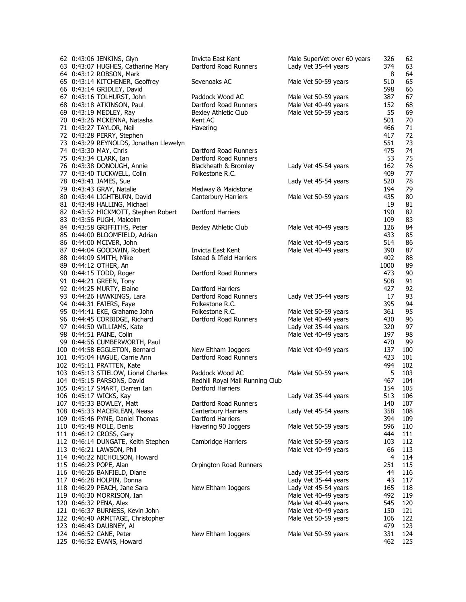| 62 0:43:06 JENKINS, Glyn               | Invicta East Kent               | Male SuperVet over 60 years | 326  | 62  |
|----------------------------------------|---------------------------------|-----------------------------|------|-----|
| 63 0:43:07 HUGHES, Catharine Mary      | Dartford Road Runners           | Lady Vet 35-44 years        | 374  | 63  |
| 64 0:43:12 ROBSON, Mark                |                                 |                             | 8    | 64  |
| 65 0:43:14 KITCHENER, Geoffrey         | Sevenoaks AC                    | Male Vet 50-59 years        | 510  | 65  |
| 66 0:43:14 GRIDLEY, David              |                                 |                             | 598  | 66  |
| 67 0:43:16 TOLHURST, John              | Paddock Wood AC                 | Male Vet 50-59 years        | 387  | 67  |
| 68 0:43:18 ATKINSON, Paul              | Dartford Road Runners           | Male Vet 40-49 years        | 152  | 68  |
| 69 0:43:19 MEDLEY, Ray                 | Bexley Athletic Club            | Male Vet 50-59 years        | 55   | 69  |
| 70 0:43:26 MCKENNA, Natasha            | Kent AC                         |                             | 501  | 70  |
| 71 0:43:27 TAYLOR, Neil                | Havering                        |                             | 466  | 71  |
| 72 0:43:28 PERRY, Stephen              |                                 |                             | 417  | 72  |
| 73 0:43:29 REYNOLDS, Jonathan Llewelyn |                                 |                             | 551  | 73  |
| 74 0:43:30 MAY, Chris                  | Dartford Road Runners           |                             | 475  | 74  |
| 75 0:43:34 CLARK, Ian                  | Dartford Road Runners           |                             | 53   | 75  |
| 76 0:43:38 DONOUGH, Annie              | Blackheath & Bromley            | Lady Vet 45-54 years        | 162  | 76  |
| 77 0:43:40 TUCKWELL, Colin             | Folkestone R.C.                 |                             | 409  | 77  |
| 78 0:43:41 JAMES, Sue                  |                                 | Lady Vet 45-54 years        | 520  | 78  |
| 79 0:43:43 GRAY, Natalie               | Medway & Maidstone              |                             | 194  | 79  |
| 80 0:43:44 LIGHTBURN, David            | Canterbury Harriers             | Male Vet 50-59 years        | 435  | 80  |
| 81 0:43:48 HALLING, Michael            |                                 |                             | 19   | 81  |
| 82 0:43:52 HICKMOTT, Stephen Robert    | Dartford Harriers               |                             | 190  | 82  |
| 83 0:43:56 PUGH, Malcolm               |                                 |                             | 109  | 83  |
| 84 0:43:58 GRIFFITHS, Peter            | Bexley Athletic Club            | Male Vet 40-49 years        | 126  | 84  |
| 85 0:44:00 BLOOMFIELD, Adrian          |                                 |                             | 433  | 85  |
| 86 0:44:00 MCIVER, John                |                                 | Male Vet 40-49 years        | 514  | 86  |
| 87 0:44:04 GOODWIN, Robert             | Invicta East Kent               | Male Vet 40-49 years        | 390  | 87  |
| 88 0:44:09 SMITH, Mike                 | Istead & Ifield Harriers        |                             | 402  | 88  |
| 89 0:44:12 OTHER, An                   |                                 |                             | 1000 | 89  |
| 90 0:44:15 TODD, Roger                 | Dartford Road Runners           |                             | 473  | 90  |
| 91 0:44:21 GREEN, Tony                 |                                 |                             | 508  | 91  |
| 92 0:44:25 MURTY, Elaine               | Dartford Harriers               |                             | 427  | 92  |
| 93 0:44:26 HAWKINGS, Lara              | Dartford Road Runners           | Lady Vet 35-44 years        | 17   | 93  |
| 94 0:44:31 FAIERS, Faye                | Folkestone R.C.                 |                             | 395  | 94  |
| 95 0:44:41 EKE, Grahame John           | Folkestone R.C.                 | Male Vet 50-59 years        | 361  | 95  |
| 96 0:44:45 CORBIDGE, Richard           | Dartford Road Runners           | Male Vet 40-49 years        | 430  | 96  |
| 97 0:44:50 WILLIAMS, Kate              |                                 | Lady Vet 35-44 years        | 320  | 97  |
| 98 0:44:51 PAINE, Colin                |                                 | Male Vet 40-49 years        | 197  | 98  |
| 99 0:44:56 CUMBERWORTH, Paul           |                                 |                             | 470  | 99  |
| 100 0:44:58 EGGLETON, Bernard          | New Eltham Joggers              | Male Vet 40-49 years        | 137  | 100 |
| 101 0:45:04 HAGUE, Carrie Ann          | Dartford Road Runners           |                             | 423  | 101 |
| 102 0:45:11 PRATTEN, Kate              |                                 |                             | 494  | 102 |
| 103 0:45:13 STIELOW, Lionel Charles    | Paddock Wood AC                 | Male Vet 50-59 years        | 5    | 103 |
| 104 0:45:15 PARSONS, David             | Redhill Royal Mail Running Club |                             | 467  | 104 |
| 105 0:45:17 SMART, Darren Ian          | Dartford Harriers               |                             | 154  | 105 |
| 106 0:45:17 WICKS, Kay                 |                                 | Lady Vet 35-44 years        | 513  | 106 |
| 107 0:45:33 BOWLEY, Matt               | Dartford Road Runners           |                             | 140  | 107 |
| 108 0:45:33 MACERLEAN, Neasa           | Canterbury Harriers             | Lady Vet 45-54 years        | 358  | 108 |
| 109 0:45:46 PYNE, Daniel Thomas        | Dartford Harriers               |                             | 394  | 109 |
| 110 0:45:48 MOLE, Denis                | Havering 90 Joggers             | Male Vet 50-59 years        | 596  | 110 |
| 111 0:46:12 CROSS, Gary                |                                 |                             | 444  | 111 |
| 112 0:46:14 DUNGATE, Keith Stephen     | Cambridge Harriers              | Male Vet 50-59 years        | 103  | 112 |
| 113 0:46:21 LAWSON, Phil               |                                 | Male Vet 40-49 years        | 66   | 113 |
| 114 0:46:22 NICHOLSON, Howard          |                                 |                             | 4    | 114 |
| 115 0:46:23 POPE, Alan                 | Orpington Road Runners          |                             | 251  | 115 |
| 116 0:46:26 BANFIELD, Diane            |                                 | Lady Vet 35-44 years        | 44   | 116 |
| 117 0:46:28 HOLPIN, Donna              |                                 | Lady Vet 35-44 years        | 43   | 117 |
| 118 0:46:29 PEACH, Jane Sara           | New Eltham Joggers              | Lady Vet 45-54 years        | 165  | 118 |
| 119 0:46:30 MORRISON, Ian              |                                 | Male Vet 40-49 years        | 492  | 119 |
| 120 0:46:32 PENA, Alex                 |                                 | Male Vet 40-49 years        | 545  | 120 |
| 121 0:46:37 BURNESS, Kevin John        |                                 | Male Vet 40-49 years        | 150  | 121 |
| 122 0:46:40 ARMITAGE, Christopher      |                                 | Male Vet 50-59 years        | 106  | 122 |
| 123 0:46:43 DAUBNEY, AI                |                                 |                             | 479  | 123 |
| 124 0:46:52 CANE, Peter                | New Eltham Joggers              | Male Vet 50-59 years        | 331  | 124 |
| 125 0:46:52 EVANS, Howard              |                                 |                             | 462  | 125 |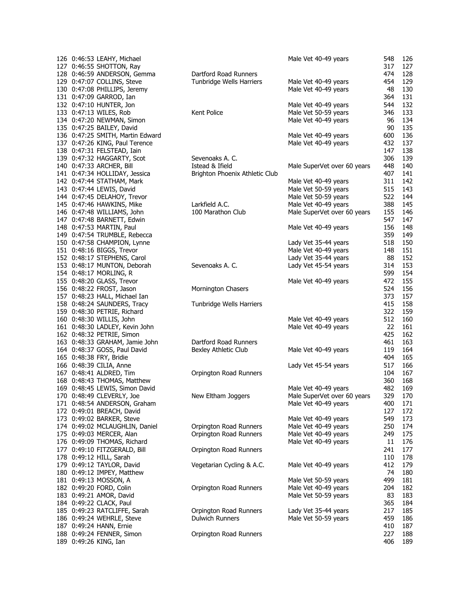| 126 0:46:53 LEAHY, Michael       |                                | Male Vet 40-49 years        | 548     | 126 |
|----------------------------------|--------------------------------|-----------------------------|---------|-----|
| 127 0:46:55 SHOTTON, Ray         |                                |                             | 317     | 127 |
| 128 0:46:59 ANDERSON, Gemma      | Dartford Road Runners          |                             | 474     | 128 |
| 129 0:47:07 COLLINS, Steve       | Tunbridge Wells Harriers       | Male Vet 40-49 years        | 454     | 129 |
| 130 0:47:08 PHILLIPS, Jeremy     |                                | Male Vet 40-49 years        | 48      | 130 |
|                                  |                                |                             |         |     |
| 131 0:47:09 GARROD, Ian          |                                |                             | 364     | 131 |
| 132 0:47:10 HUNTER, Jon          |                                | Male Vet 40-49 years        | 544     | 132 |
| 133 0:47:13 WILES, Rob           | Kent Police                    | Male Vet 50-59 years        | 346     | 133 |
| 134 0:47:20 NEWMAN, Simon        |                                | Male Vet 40-49 years        | 96      | 134 |
| 135 0:47:25 BAILEY, David        |                                |                             | 90      | 135 |
| 136 0:47:25 SMITH, Martin Edward |                                | Male Vet 40-49 years        | 600     | 136 |
|                                  |                                |                             |         |     |
| 137 0:47:26 KING, Paul Terence   |                                | Male Vet 40-49 years        | 432     | 137 |
| 138 0:47:31 FELSTEAD, Iain       |                                |                             | 147     | 138 |
| 139 0:47:32 HAGGARTY, Scot       | Sevenoaks A. C.                |                             | 306     | 139 |
| 140 0:47:33 ARCHER, Bill         | Istead & Ifield                | Male SuperVet over 60 years | 448     | 140 |
| 141 0:47:34 HOLLIDAY, Jessica    | Brighton Phoenix Athletic Club |                             | 407     | 141 |
| 142 0:47:44 STATHAM, Mark        |                                | Male Vet 40-49 years        | 311     | 142 |
|                                  |                                |                             |         |     |
| 143 0:47:44 LEWIS, David         |                                | Male Vet 50-59 years        | 515     | 143 |
| 144 0:47:45 DELAHOY, Trevor      |                                | Male Vet 50-59 years        | 522     | 144 |
| 145 0:47:46 HAWKINS, Mike        | Larkfield A.C.                 | Male Vet 40-49 years        | 388     | 145 |
| 146 0:47:48 WILLIAMS, John       | 100 Marathon Club              | Male SuperVet over 60 years | 155     | 146 |
| 147 0:47:48 BARNETT, Edwin       |                                |                             | 547     | 147 |
| 148 0:47:53 MARTIN, Paul         |                                |                             | 156     | 148 |
|                                  |                                | Male Vet 40-49 years        |         |     |
| 149 0:47:54 TRUMBLE, Rebecca     |                                |                             | 359     | 149 |
| 150 0:47:58 CHAMPION, Lynne      |                                | Lady Vet 35-44 years        | 518     | 150 |
| 151 0:48:16 BIGGS, Trevor        |                                | Male Vet 40-49 years        | 148     | 151 |
| 152 0:48:17 STEPHENS, Carol      |                                | Lady Vet 35-44 years        | 88      | 152 |
| 153 0:48:17 MUNTON, Deborah      | Sevenoaks A. C.                | Lady Vet 45-54 years        | 314     | 153 |
|                                  |                                |                             | 599     | 154 |
| 154 0:48:17 MORLING, R           |                                |                             |         |     |
| 155 0:48:20 GLASS, Trevor        |                                | Male Vet 40-49 years        | 472     | 155 |
| 156 0:48:22 FROST, Jason         | Mornington Chasers             |                             | 524     | 156 |
| 157 0:48:23 HALL, Michael Ian    |                                |                             | 373     | 157 |
| 158 0:48:24 SAUNDERS, Tracy      | Tunbridge Wells Harriers       |                             | 415     | 158 |
| 159 0:48:30 PETRIE, Richard      |                                |                             | 322     | 159 |
|                                  |                                |                             | 512     |     |
| 160 0:48:30 WILLIS, John         |                                | Male Vet 40-49 years        |         | 160 |
| 161 0:48:30 LADLEY, Kevin John   |                                | Male Vet 40-49 years        | 22      | 161 |
| 162 0:48:32 PETRIE, Simon        |                                |                             | 425     | 162 |
| 163 0:48:33 GRAHAM, Jamie John   | Dartford Road Runners          |                             | 461     | 163 |
| 164 0:48:37 GOSS, Paul David     | Bexley Athletic Club           | Male Vet 40-49 years        | 119     | 164 |
| 165 0:48:38 FRY, Bridie          |                                |                             | 404     | 165 |
|                                  |                                | Lady Vet 45-54 years        | 517     | 166 |
| 166 0:48:39 CILIA, Anne          |                                |                             |         |     |
| 167 0:48:41 ALDRED, Tim          | Orpington Road Runners         |                             | 104     | 167 |
| 168 0:48:43 THOMAS, Matthew      |                                |                             | 360     | 168 |
| 169 0:48:45 LEWIS, Simon David   |                                | Male Vet 40-49 years        | 482     | 169 |
| 170 0:48:49 CLEVERLY, Joe        | New Eltham Joggers             | Male SuperVet over 60 years | 329 170 |     |
| 171 0:48:54 ANDERSON, Graham     |                                | Male Vet 40-49 years        | 400     | 171 |
| 172 0:49:01 BREACH, David        |                                |                             | 127     | 172 |
|                                  |                                |                             |         |     |
| 173 0:49:02 BARKER, Steve        |                                | Male Vet 40-49 years        | 549     | 173 |
| 174 0:49:02 MCLAUGHLIN, Daniel   | Orpington Road Runners         | Male Vet 40-49 years        | 250     | 174 |
| 175 0:49:03 MERCER, Alan         | Orpington Road Runners         | Male Vet 40-49 years        | 249     | 175 |
| 176 0:49:09 THOMAS, Richard      |                                | Male Vet 40-49 years        | 11      | 176 |
| 177 0:49:10 FITZGERALD, Bill     | Orpington Road Runners         |                             | 241     | 177 |
| 178 0:49:12 HILL, Sarah          |                                |                             | 110     | 178 |
|                                  |                                |                             |         |     |
| 179 0:49:12 TAYLOR, David        | Vegetarian Cycling & A.C.      | Male Vet 40-49 years        | 412     | 179 |
| 180 0:49:12 IMPEY, Matthew       |                                |                             | 74      | 180 |
| 181 0:49:13 MOSSON, A            |                                | Male Vet 50-59 years        | 499     | 181 |
| 182 0:49:20 FORD, Colin          | Orpington Road Runners         | Male Vet 40-49 years        | 204     | 182 |
| 183 0:49:21 AMOR, David          |                                | Male Vet 50-59 years        | 83      | 183 |
| 184 0:49:22 CLACK, Paul          |                                |                             | 365     | 184 |
|                                  |                                |                             |         |     |
| 185 0:49:23 RATCLIFFE, Sarah     | Orpington Road Runners         | Lady Vet 35-44 years        | 217     | 185 |
| 186 0:49:24 WEHRLE, Steve        | <b>Dulwich Runners</b>         | Male Vet 50-59 years        | 459     | 186 |
| 187 0:49:24 HANN, Ernie          |                                |                             | 410     | 187 |
| 188 0:49:24 FENNER, Simon        | Orpington Road Runners         |                             | 227     | 188 |
| 189 0:49:26 KING, Ian            |                                |                             | 406     | 189 |
|                                  |                                |                             |         |     |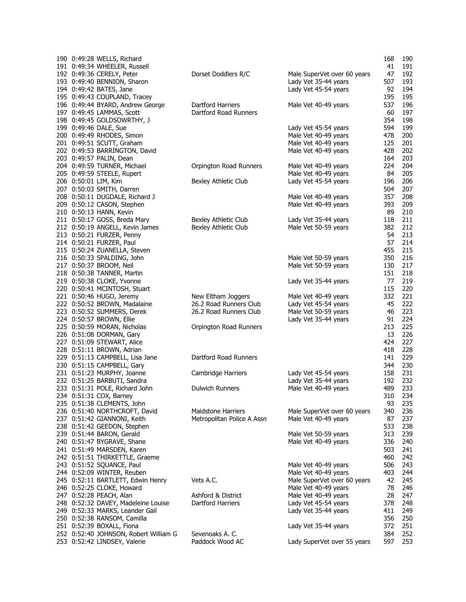| 190 0:49:28 WELLS, Richard                            |                            |                             | 168        | 190        |
|-------------------------------------------------------|----------------------------|-----------------------------|------------|------------|
| 191 0:49:34 WHEELER, Russell                          |                            |                             | 41         | 191        |
| 192 0:49:36 CERELY, Peter                             | Dorset Doddlers R/C        | Male SuperVet over 60 years | 47         | 192        |
| 193 0:49:40 BENNION, Sharon                           |                            | Lady Vet 35-44 years        | 507        | 193        |
| 194 0:49:42 BATES, Jane                               |                            | Lady Vet 45-54 years        | 92         | 194        |
| 195 0:49:43 COUPLAND, Tracey                          |                            |                             | 195        | 195        |
| 196 0:49:44 BYARD, Andrew George                      | Dartford Harriers          | Male Vet 40-49 years        | 537        | 196        |
| 197 0:49:45 LAMMAS, Scott                             | Dartford Road Runners      |                             | 60         | 197        |
| 198 0:49:45 GOLDSOWRTHY, J                            |                            |                             | 354        | 198        |
| 199 0:49:46 DALE, Sue                                 |                            | Lady Vet 45-54 years        | 594        | 199        |
| 200 0:49:49 RHODES, Simon                             |                            | Male Vet 40-49 years        | 478        | 200        |
| 201 0:49:51 SCUTT, Graham                             |                            | Male Vet 40-49 years        | 125        | 201        |
| 202 0:49:53 BARRINGTON, David                         |                            | Male Vet 40-49 years        | 428        | 202        |
| 203 0:49:57 PALIN, Dean                               |                            |                             | 164        | 203        |
| 204 0:49:59 TURNER, Michael                           | Orpington Road Runners     | Male Vet 40-49 years        | 224        | 204        |
| 205 0:49:59 STEELE, Rupert                            |                            | Male Vet 40-49 years        | 84         | 205        |
| 206 0:50:01 LIM, Kim                                  | Bexley Athletic Club       | Lady Vet 45-54 years        | 196        | 206        |
| 207 0:50:03 SMITH, Darren                             |                            |                             | 504        | 207        |
| 208 0:50:11 DUGDALE, Richard J                        |                            | Male Vet 40-49 years        | 357        | 208        |
| 209 0:50:12 CASON, Stephen                            |                            | Male Vet 40-49 years        | 393        | 209        |
| 210 0:50:13 HANN, Kevin                               |                            |                             | 89         | 210        |
| 211 0:50:17 GOSS, Breda Mary                          | Bexley Athletic Club       | Lady Vet 35-44 years        | 118        | 211        |
| 212 0:50:19 ANGELL, Kevin James                       | Bexley Athletic Club       | Male Vet 50-59 years        | 382        | 212        |
| 213 0:50:21 FURZER, Penny                             |                            |                             | 54         | 213        |
| 214 0:50:21 FURZER, Paul                              |                            |                             | 57         | 214        |
| 215 0:50:24 ZUANELLA, Steven                          |                            |                             | 455        | 215        |
| 216 0:50:33 SPALDING, John                            |                            | Male Vet 50-59 years        | 350        | 216        |
| 217 0:50:37 BROOM, Neil<br>218 0:50:38 TANNER, Martin |                            | Male Vet 50-59 years        | 130<br>151 | 217<br>218 |
| 219 0:50:38 CLOKE, Yvonne                             |                            | Lady Vet 35-44 years        | 77         | 219        |
| 220 0:50:41 MCINTOSH, Stuart                          |                            |                             | 115        | 220        |
| 221 0:50:46 HUGO, Jeremy                              | New Eltham Joggers         | Male Vet 40-49 years        | 332        | 221        |
| 222 0:50:52 BROWN, Madalaine                          | 26.2 Road Runners Club     | Lady Vet 45-54 years        | 45         | 222        |
| 223 0:50:52 SUMMERS, Derek                            | 26.2 Road Runners Club     | Male Vet 50-59 years        | 46         | 223        |
| 224 0:50:57 BROWN, Ellie                              |                            | Lady Vet 35-44 years        | 91         | 224        |
| 225 0:50:59 MORAN, Nicholas                           | Orpington Road Runners     |                             | 213        | 225        |
| 226 0:51:08 DORMAN, Gary                              |                            |                             | 13         | 226        |
| 227 0:51:09 STEWART, Alice                            |                            |                             | 424        | 227        |
| 228 0:51:11 BROWN, Adrian                             |                            |                             | 418        | 228        |
| 229 0:51:13 CAMPBELL, Lisa Jane                       | Dartford Road Runners      |                             | 141        | 229        |
| 230 0:51:15 CAMPBELL, Gary                            |                            |                             | 344        | 230        |
| 231 0:51:23 MURPHY, Joanne                            | Cambridge Harriers         | Lady Vet 45-54 years        | 158        | 231        |
| 232 0:51:25 BARBUTI, Sandra                           |                            | Lady Vet 35-44 years        | 192        | 232        |
| 233 0:51:31 POLE, Richard John                        | <b>Dulwich Runners</b>     | Male Vet 40-49 years        | 489        | 233        |
| 234 0:51:31 COX, Barney                               |                            |                             | 310        | 234        |
| 235 0:51:38 CLEMENTS, John                            |                            |                             | 93         | 235        |
| 236 0:51:40 NORTHCROFT, David                         | <b>Maidstone Harriers</b>  | Male SuperVet over 60 years | 340        | 236        |
| 237 0:51:42 GIANNONI, Keith                           | Metropolitan Police A Assn | Male Vet 40-49 years        | 87         | 237        |
| 238 0:51:42 GEEDON, Stephen                           |                            |                             | 533        | 238        |
| 239 0:51:44 BARON, Gerald                             |                            | Male Vet 50-59 years        | 313        | 239        |
| 240 0:51:47 BYGRAVE, Shane                            |                            | Male Vet 40-49 years        | 336        | 240        |
| 241 0:51:49 MARSDEN, Karen                            |                            |                             | 503        | 241        |
| 242 0:51:51 THIRKETTLE, Graeme                        |                            |                             | 460        | 242        |
| 243 0:51:52 SQUANCE, Paul                             |                            | Male Vet 40-49 years        | 506        | 243        |
| 244 0:52:09 WINTER, Reuben                            |                            | Male Vet 40-49 years        | 403        | 244        |
| 245 0:52:11 BARTLETT, Edwin Henry                     | Vets A.C.                  | Male SuperVet over 60 years | 42         | 245        |
| 246 0:52:25 CLOKE, Howard                             |                            | Male Vet 40-49 years        | 78         | 246        |
| 247 0:52:28 PEACH, Alan                               | Ashford & District         | Male Vet 40-49 years        | 28         | 247        |
| 248 0:52:32 DAVEY, Madeleine Louise                   | Dartford Harriers          | Lady Vet 45-54 years        | 378        | 248        |
| 249 0:52:33 MARKS, Leander Gail                       |                            | Lady Vet 35-44 years        | 411        | 249        |
| 250 0:52:38 RANSOM, Camilla                           |                            |                             | 356        | 250        |
| 251 0:52:39 BOXALL, Fiona                             |                            | Lady Vet 35-44 years        | 372        | 251        |
| 252 0:52:40 JOHNSON, Robert William G                 | Sevenoaks A. C.            |                             | 384        | 252        |
| 253 0:52:42 LINDSEY, Valerie                          | Paddock Wood AC            | Lady SuperVet over 55 years | 597        | 253        |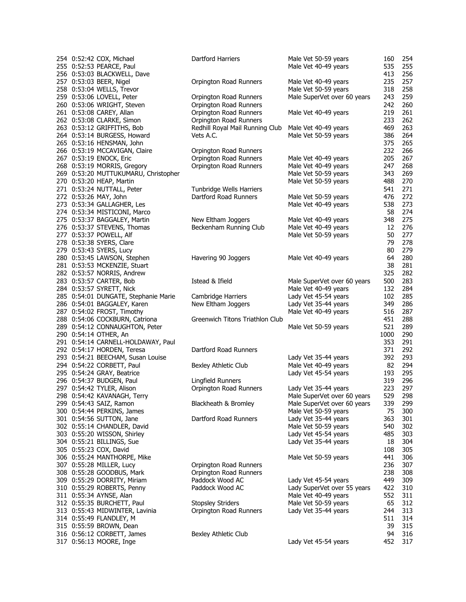|  | 254 0:52:42 COX, Michael                              | Dartford Harriers               | Male Vet 50-59 years        | 160       | 254        |
|--|-------------------------------------------------------|---------------------------------|-----------------------------|-----------|------------|
|  | 255 0:52:53 PEARCE, Paul                              |                                 | Male Vet 40-49 years        | 535       | 255        |
|  | 256 0:53:03 BLACKWELL, Dave                           |                                 |                             | 413       | 256        |
|  | 257 0:53:03 BEER, Nigel                               | Orpington Road Runners          | Male Vet 40-49 years        | 235       | 257        |
|  | 258 0:53:04 WELLS, Trevor                             |                                 | Male Vet 50-59 years        | 318       | 258        |
|  | 259 0:53:06 LOVELL, Peter                             | Orpington Road Runners          | Male SuperVet over 60 years | 243       | 259        |
|  | 260 0:53:06 WRIGHT, Steven                            | Orpington Road Runners          |                             | 242       | 260        |
|  | 261 0:53:08 CAREY, Allan                              | Orpington Road Runners          | Male Vet 40-49 years        | 219       | 261        |
|  |                                                       |                                 |                             | 233       |            |
|  | 262 0:53:08 CLARKE, Simon                             | Orpington Road Runners          |                             |           | 262        |
|  | 263 0:53:12 GRIFFITHS, Bob                            | Redhill Royal Mail Running Club | Male Vet 40-49 years        | 469       | 263        |
|  | 264 0:53:14 BURGESS, Howard                           | Vets A.C.                       | Male Vet 50-59 years        | 386       | 264        |
|  | 265 0:53:16 HENSMAN, John                             |                                 |                             | 375       | 265        |
|  | 266 0:53:19 MCCAVIGAN, Claire                         | Orpington Road Runners          |                             | 232       | 266        |
|  | 267 0:53:19 ENOCK, Eric                               | Orpington Road Runners          | Male Vet 40-49 years        | 205       | 267        |
|  | 268 0:53:19 MORRIS, Gregory                           | Orpington Road Runners          | Male Vet 40-49 years        | 247       | 268        |
|  | 269 0:53:20 MUTTUKUMARU, Christopher                  |                                 | Male Vet 50-59 years        | 343       | 269        |
|  | 270 0:53:20 HEAP, Martin                              |                                 | Male Vet 50-59 years        | 488       | 270        |
|  | 271 0:53:24 NUTTALL, Peter                            | Tunbridge Wells Harriers        |                             | 541       | 271        |
|  | 272 0:53:26 MAY, John                                 | Dartford Road Runners           | Male Vet 50-59 years        | 476       | 272        |
|  | 273 0:53:34 GALLAGHER, Les                            |                                 | Male Vet 40-49 years        | 538       | 273        |
|  | 274 0:53:34 MISTICONI, Marco                          |                                 |                             | 58        | 274        |
|  | 275 0:53:37 BAGGALEY, Martin                          | New Eltham Joggers              | Male Vet 40-49 years        | 348       | 275        |
|  | 276 0:53:37 STEVENS, Thomas                           | Beckenham Running Club          | Male Vet 40-49 years        | 12        | 276        |
|  | 277 0:53:37 POWELL, Alf                               |                                 | Male Vet 50-59 years        | 50        | 277        |
|  |                                                       |                                 |                             | 79        | 278        |
|  | 278 0:53:38 SYERS, Clare                              |                                 |                             |           |            |
|  | 279 0:53:43 SYERS, Lucy                               |                                 |                             | 80        | 279        |
|  | 280 0:53:45 LAWSON, Stephen                           | Havering 90 Joggers             | Male Vet 40-49 years        | 64        | 280        |
|  | 281 0:53:53 MCKENZIE, Stuart                          |                                 |                             | 38        | 281        |
|  | 282 0:53:57 NORRIS, Andrew                            |                                 |                             | 325       | 282        |
|  | 283 0:53:57 CARTER, Bob                               | Istead & Ifield                 | Male SuperVet over 60 years | 500       | 283        |
|  | 284 0:53:57 SYRETT, Nick                              |                                 | Male Vet 40-49 years        | 132       | 284        |
|  | 285 0:54:01 DUNGATE, Stephanie Marie                  | Cambridge Harriers              | Lady Vet 45-54 years        | 102       | 285        |
|  | 286 0:54:01 BAGGALEY, Karen                           | New Eltham Joggers              | Lady Vet 35-44 years        | 349       | 286        |
|  | 287 0:54:02 FROST, Timothy                            |                                 | Male Vet 40-49 years        | 516       | 287        |
|  | 288 0:54:06 COCKBURN, Catriona                        | Greenwich Titons Triathlon Club |                             | 451       | 288        |
|  | 289 0:54:12 CONNAUGHTON, Peter                        |                                 | Male Vet 50-59 years        | 521       | 289        |
|  | 290 0:54:14 OTHER, An                                 |                                 |                             | 1000      | 290        |
|  | 291 0:54:14 CARNELL-HOLDAWAY, Paul                    |                                 |                             | 353       | 291        |
|  | 292 0:54:17 HORDEN, Teresa                            | Dartford Road Runners           |                             | 371       | 292        |
|  | 293 0:54:21 BEECHAM, Susan Louise                     |                                 | Lady Vet 35-44 years        | 392       | 293        |
|  | 294 0:54:22 CORBETT, Paul                             | Bexley Athletic Club            | Male Vet 40-49 years        | 82        | 294        |
|  | 295 0:54:24 GRAY, Beatrice                            |                                 |                             | 193       | 295        |
|  |                                                       |                                 | Lady Vet 45-54 years        |           |            |
|  | 296 0:54:37 BUDGEN, Paul                              | Lingfield Runners               |                             | 319       | 296        |
|  | 297 0:54:42 TYLER, Alison                             | Orpington Road Runners          | Lady Vet 35-44 years        | 223       | 297        |
|  | 298 0:54:42 KAVANAGH, Terry                           |                                 | Male SuperVet over 60 years | 529       | 298        |
|  | 299 0:54:43 SAIZ, Ramon                               | Blackheath & Bromley            | Male SuperVet over 60 years | 339       | 299        |
|  | 300 0:54:44 PERKINS, James                            |                                 | Male Vet 50-59 years        | 75        | 300        |
|  | 301 0:54:56 SUTTON, Jane                              | Dartford Road Runners           | Lady Vet 35-44 years        | 363       | 301        |
|  | 302 0:55:14 CHANDLER, David                           |                                 | Male Vet 50-59 years        | 540       | 302        |
|  | 303 0:55:20 WISSON, Shirley                           |                                 | Lady Vet 45-54 years        | 485       | 303        |
|  | 304 0:55:21 BILLINGS, Sue                             |                                 | Lady Vet 35-44 years        | 18        | 304        |
|  | 305 0:55:23 COX, David                                |                                 |                             | 108       | 305        |
|  | 306 0:55:24 MANTHORPE, Mike                           |                                 | Male Vet 50-59 years        | 441       | 306        |
|  | 307 0:55:28 MILLER, Lucy                              | Orpington Road Runners          |                             | 236       | 307        |
|  | 308 0:55:28 GOODBUS, Mark                             | Orpington Road Runners          |                             | 238       | 308        |
|  | 309 0:55:29 DORRITY, Miriam                           | Paddock Wood AC                 | Lady Vet 45-54 years        | 449       | 309        |
|  | 310 0:55:29 ROBERTS, Penny                            | Paddock Wood AC                 | Lady SuperVet over 55 years | 422       | 310        |
|  |                                                       |                                 |                             |           |            |
|  |                                                       |                                 |                             |           |            |
|  | 311 0:55:34 AYNSE, Alan                               |                                 | Male Vet 40-49 years        | 552       | 311        |
|  | 312 0:55:35 BURCHETT, Paul                            | <b>Stopsley Striders</b>        | Male Vet 50-59 years        | 65        | 312        |
|  | 313 0:55:43 MIDWINTER, Lavinia                        | Orpington Road Runners          | Lady Vet 35-44 years        | 244       | 313        |
|  | 314 0:55:49 FLANDLEY, M                               |                                 |                             | 511       | 314        |
|  | 315 0:55:59 BROWN, Dean                               |                                 |                             | 39        | 315        |
|  | 316 0:56:12 CORBETT, James<br>317 0:56:13 MOORE, Inge | Bexley Athletic Club            | Lady Vet 45-54 years        | 94<br>452 | 316<br>317 |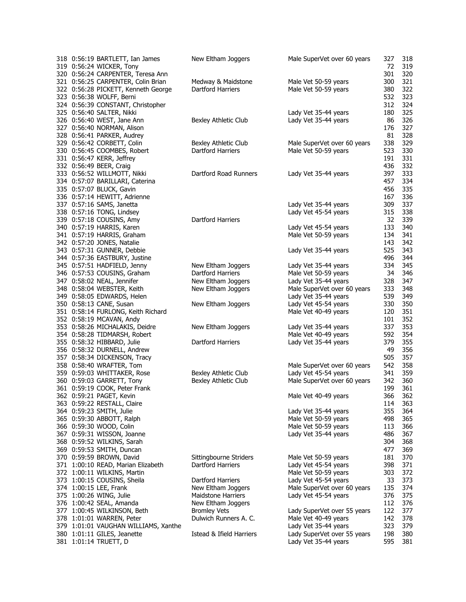| 318 0:56:19 BARTLETT, Ian James      | New Eltham Joggers       | Male SuperVet over 60 years | 327 | 318 |
|--------------------------------------|--------------------------|-----------------------------|-----|-----|
| 319 0:56:24 WICKER, Tony             |                          |                             | 72  | 319 |
| 320 0:56:24 CARPENTER, Teresa Ann    |                          |                             | 301 | 320 |
| 321 0:56:25 CARPENTER, Colin Brian   | Medway & Maidstone       | Male Vet 50-59 years        | 300 | 321 |
| 322 0:56:28 PICKETT, Kenneth George  | Dartford Harriers        | Male Vet 50-59 years        | 380 | 322 |
| 323 0:56:38 WOLFF, Berni             |                          |                             | 532 | 323 |
| 324 0:56:39 CONSTANT, Christopher    |                          |                             | 312 | 324 |
| 325 0:56:40 SALTER, Nikki            |                          | Lady Vet 35-44 years        | 180 | 325 |
| 326 0:56:40 WEST, Jane Ann           | Bexley Athletic Club     | Lady Vet 35-44 years        | 86  | 326 |
| 327 0:56:40 NORMAN, Alison           |                          |                             | 176 | 327 |
| 328 0:56:41 PARKER, Audrey           |                          |                             | 81  | 328 |
| 329 0:56:42 CORBETT, Colin           | Bexley Athletic Club     | Male SuperVet over 60 years | 338 | 329 |
| 330 0:56:45 COOMBES, Robert          | Dartford Harriers        | Male Vet 50-59 years        | 523 | 330 |
| 331 0:56:47 KERR, Jeffrey            |                          |                             | 191 | 331 |
| 332 0:56:49 BEER, Craig              |                          |                             | 436 | 332 |
| 333 0:56:52 WILLMOTT, Nikki          | Dartford Road Runners    | Lady Vet 35-44 years        | 397 | 333 |
| 334 0:57:07 BARILLARI, Caterina      |                          |                             | 457 | 334 |
| 335 0:57:07 BLUCK, Gavin             |                          |                             | 456 | 335 |
| 336 0:57:14 HEWITT, Adrienne         |                          |                             | 167 | 336 |
| 337 0:57:16 SAMS, Janetta            |                          | Lady Vet 35-44 years        | 309 | 337 |
| 338 0:57:16 TONG, Lindsey            |                          | Lady Vet 45-54 years        | 315 | 338 |
| 339 0:57:18 COUSINS, Amy             | Dartford Harriers        |                             | 32  | 339 |
| 340 0:57:19 HARRIS, Karen            |                          | Lady Vet 45-54 years        | 133 | 340 |
| 341 0:57:19 HARRIS, Graham           |                          | Male Vet 50-59 years        | 134 | 341 |
| 342 0:57:20 JONES, Natalie           |                          |                             | 143 | 342 |
| 343 0:57:31 GUNNER, Debbie           |                          | Lady Vet 35-44 years        | 525 | 343 |
| 344 0:57:36 EASTBURY, Justine        |                          |                             | 496 | 344 |
| 345 0:57:51 HADFIELD, Jenny          | New Eltham Joggers       | Lady Vet 35-44 years        | 334 | 345 |
| 346 0:57:53 COUSINS, Graham          | Dartford Harriers        | Male Vet 50-59 years        | 34  | 346 |
| 347 0:58:02 NEAL, Jennifer           | New Eltham Joggers       | Lady Vet 35-44 years        | 328 | 347 |
| 348 0:58:04 WEBSTER, Keith           | New Eltham Joggers       | Male SuperVet over 60 years | 333 | 348 |
| 349 0:58:05 EDWARDS, Helen           |                          | Lady Vet 35-44 years        | 539 | 349 |
| 350 0:58:13 CANE, Susan              | New Eltham Joggers       | Lady Vet 45-54 years        | 330 | 350 |
| 351 0:58:14 FURLONG, Keith Richard   |                          | Male Vet 40-49 years        | 120 | 351 |
| 352 0:58:19 MCAVAN, Andy             |                          |                             | 101 | 352 |
| 353 0:58:26 MICHALAKIS, Deidre       | New Eltham Joggers       | Lady Vet 35-44 years        | 337 | 353 |
| 354 0:58:28 TIDMARSH, Robert         |                          | Male Vet 40-49 years        | 592 | 354 |
| 355 0:58:32 HIBBARD, Julie           | Dartford Harriers        | Lady Vet 35-44 years        | 379 | 355 |
| 356 0:58:32 DURNELL, Andrew          |                          |                             | 49  | 356 |
| 357 0:58:34 DICKENSON, Tracy         |                          |                             | 505 | 357 |
| 358 0:58:40 WRAFTER, Tom             |                          | Male SuperVet over 60 years | 542 | 358 |
| 359 0:59:03 WHITTAKER, Rose          | Bexley Athletic Club     | Lady Vet 45-54 years        | 341 | 359 |
| 360 0:59:03 GARRETT, Tony            | Bexley Athletic Club     | Male SuperVet over 60 years | 342 | 360 |
| 361 0:59:19 COOK, Peter Frank        |                          |                             | 199 | 361 |
| 362 0:59:21 PAGET, Kevin             |                          | Male Vet 40-49 years        | 366 | 362 |
| 363 0:59:22 RESTALL, Claire          |                          |                             | 114 | 363 |
| 364 0:59:23 SMITH, Julie             |                          | Lady Vet 35-44 years        | 355 | 364 |
| 365 0:59:30 ABBOTT, Ralph            |                          | Male Vet 50-59 years        | 498 | 365 |
| 366 0:59:30 WOOD, Colin              |                          | Male Vet 50-59 years        | 113 | 366 |
| 367 0:59:31 WISSON, Joanne           |                          | Lady Vet 35-44 years        | 486 | 367 |
| 368 0:59:52 WILKINS, Sarah           |                          |                             | 304 | 368 |
| 369 0:59:53 SMITH, Duncan            |                          |                             | 477 | 369 |
| 370 0:59:59 BROWN, David             | Sittingbourne Striders   | Male Vet 50-59 years        | 181 | 370 |
| 371 1:00:10 READ, Marian Elizabeth   | <b>Dartford Harriers</b> | Lady Vet 45-54 years        | 398 | 371 |
| 372 1:00:11 WILKINS, Martin          |                          | Male Vet 50-59 years        | 303 | 372 |
| 373 1:00:15 COUSINS, Sheila          | Dartford Harriers        | Lady Vet 45-54 years        | 33  | 373 |
| 374 1:00:15 LEE, Frank               | New Eltham Joggers       | Male SuperVet over 60 years | 135 | 374 |
| 375 1:00:26 WING, Julie              | Maidstone Harriers       | Lady Vet 45-54 years        | 376 | 375 |
| 376 1:00:42 SEAL, Amanda             | New Eltham Joggers       |                             | 112 | 376 |
| 377 1:00:45 WILKINSON, Beth          | <b>Bromley Vets</b>      | Lady SuperVet over 55 years | 122 | 377 |
| 378 1:01:01 WARREN, Peter            | Dulwich Runners A. C.    | Male Vet 40-49 years        | 142 | 378 |
| 379 1:01:01 VAUGHAN WILLIAMS, Xanthe |                          | Lady Vet 35-44 years        | 323 | 379 |
| 380 1:01:11 GILES, Jeanette          | Istead & Ifield Harriers | Lady SuperVet over 55 years | 198 | 380 |
| 381 1:01:14 TRUETT, D                |                          | Lady Vet 35-44 years        | 595 | 381 |
|                                      |                          |                             |     |     |
|                                      |                          |                             |     |     |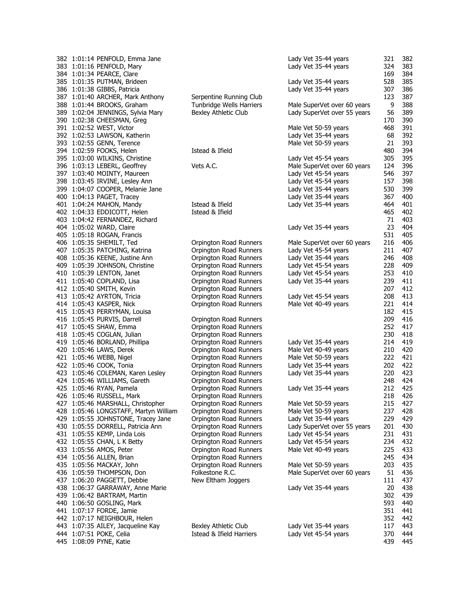| 383 1:01:16 PENFOLD, Mary<br>384 1:01:34 PEARCE, Clare<br>385 1:01:35 PUTMAN, Brideen<br>386 1:01:38 GIBBS, Patricia<br>387 1:01:40 ARCHER, Mark Anthony<br>388 1:01:44 BROOKS, Graham<br>389 1:02:04 JENNINGS, Sylvia Mary<br>390 1:02:38 CHEESMAN, Greg<br>391 1:02:52 WEST, Victor<br>392 1:02:53 LAWSON, Katherin<br>393 1:02:55 GENN, Terence<br>394 1:02:59 FOOKS, Helen<br>395 1:03:00 WILKINS, Christine<br>396 1:03:13 LEBERL, Geoffrey<br>397 1:03:40 MOINTY, Maureen<br>398 1:03:45 IRVINE, Lesley Ann<br>399 1:04:07 COOPER, Melanie Jane<br>400 1:04:13 PAGET, Tracey<br>401 1:04:24 MAHON, Mandy | Serpentine Running Club<br>Tunbridge Wells Harriers<br>Bexley Athletic Club<br>Istead & Ifield<br>Vets A.C. | Lady Vet 35-44 years<br>Lady Vet 35-44 years<br>Lady Vet 35-44 years<br>Male SuperVet over 60 years<br>Lady SuperVet over 55 years<br>Male Vet 50-59 years<br>Lady Vet 35-44 years<br>Male Vet 50-59 years<br>Lady Vet 45-54 years<br>Male SuperVet over 60 years<br>Lady Vet 45-54 years | 324<br>169<br>528<br>307<br>123<br>9<br>56<br>170<br>468<br>68<br>21<br>480<br>305<br>124 | 383<br>384<br>385<br>386<br>387<br>388<br>389<br>390<br>391<br>392<br>393<br>394<br>395 |
|----------------------------------------------------------------------------------------------------------------------------------------------------------------------------------------------------------------------------------------------------------------------------------------------------------------------------------------------------------------------------------------------------------------------------------------------------------------------------------------------------------------------------------------------------------------------------------------------------------------|-------------------------------------------------------------------------------------------------------------|-------------------------------------------------------------------------------------------------------------------------------------------------------------------------------------------------------------------------------------------------------------------------------------------|-------------------------------------------------------------------------------------------|-----------------------------------------------------------------------------------------|
|                                                                                                                                                                                                                                                                                                                                                                                                                                                                                                                                                                                                                |                                                                                                             |                                                                                                                                                                                                                                                                                           |                                                                                           |                                                                                         |
|                                                                                                                                                                                                                                                                                                                                                                                                                                                                                                                                                                                                                |                                                                                                             |                                                                                                                                                                                                                                                                                           |                                                                                           |                                                                                         |
|                                                                                                                                                                                                                                                                                                                                                                                                                                                                                                                                                                                                                |                                                                                                             |                                                                                                                                                                                                                                                                                           |                                                                                           |                                                                                         |
|                                                                                                                                                                                                                                                                                                                                                                                                                                                                                                                                                                                                                |                                                                                                             |                                                                                                                                                                                                                                                                                           |                                                                                           |                                                                                         |
|                                                                                                                                                                                                                                                                                                                                                                                                                                                                                                                                                                                                                |                                                                                                             |                                                                                                                                                                                                                                                                                           |                                                                                           |                                                                                         |
|                                                                                                                                                                                                                                                                                                                                                                                                                                                                                                                                                                                                                |                                                                                                             |                                                                                                                                                                                                                                                                                           |                                                                                           |                                                                                         |
|                                                                                                                                                                                                                                                                                                                                                                                                                                                                                                                                                                                                                |                                                                                                             |                                                                                                                                                                                                                                                                                           |                                                                                           |                                                                                         |
|                                                                                                                                                                                                                                                                                                                                                                                                                                                                                                                                                                                                                |                                                                                                             |                                                                                                                                                                                                                                                                                           |                                                                                           |                                                                                         |
|                                                                                                                                                                                                                                                                                                                                                                                                                                                                                                                                                                                                                |                                                                                                             |                                                                                                                                                                                                                                                                                           |                                                                                           |                                                                                         |
|                                                                                                                                                                                                                                                                                                                                                                                                                                                                                                                                                                                                                |                                                                                                             |                                                                                                                                                                                                                                                                                           |                                                                                           |                                                                                         |
|                                                                                                                                                                                                                                                                                                                                                                                                                                                                                                                                                                                                                |                                                                                                             |                                                                                                                                                                                                                                                                                           |                                                                                           |                                                                                         |
|                                                                                                                                                                                                                                                                                                                                                                                                                                                                                                                                                                                                                |                                                                                                             |                                                                                                                                                                                                                                                                                           |                                                                                           |                                                                                         |
|                                                                                                                                                                                                                                                                                                                                                                                                                                                                                                                                                                                                                |                                                                                                             |                                                                                                                                                                                                                                                                                           |                                                                                           |                                                                                         |
|                                                                                                                                                                                                                                                                                                                                                                                                                                                                                                                                                                                                                |                                                                                                             |                                                                                                                                                                                                                                                                                           |                                                                                           | 396                                                                                     |
|                                                                                                                                                                                                                                                                                                                                                                                                                                                                                                                                                                                                                |                                                                                                             |                                                                                                                                                                                                                                                                                           | 546                                                                                       | 397                                                                                     |
|                                                                                                                                                                                                                                                                                                                                                                                                                                                                                                                                                                                                                |                                                                                                             | Lady Vet 45-54 years                                                                                                                                                                                                                                                                      | 157                                                                                       | 398                                                                                     |
|                                                                                                                                                                                                                                                                                                                                                                                                                                                                                                                                                                                                                |                                                                                                             | Lady Vet 35-44 years                                                                                                                                                                                                                                                                      | 530                                                                                       | 399                                                                                     |
|                                                                                                                                                                                                                                                                                                                                                                                                                                                                                                                                                                                                                |                                                                                                             | Lady Vet 35-44 years                                                                                                                                                                                                                                                                      | 367                                                                                       | 400                                                                                     |
|                                                                                                                                                                                                                                                                                                                                                                                                                                                                                                                                                                                                                | Istead & Ifield                                                                                             | Lady Vet 35-44 years                                                                                                                                                                                                                                                                      | 464                                                                                       | 401                                                                                     |
| 402 1:04:33 EDDICOTT, Helen                                                                                                                                                                                                                                                                                                                                                                                                                                                                                                                                                                                    | Istead & Ifield                                                                                             |                                                                                                                                                                                                                                                                                           | 465                                                                                       | 402                                                                                     |
| 403 1:04:42 FERNANDEZ, Richard                                                                                                                                                                                                                                                                                                                                                                                                                                                                                                                                                                                 |                                                                                                             |                                                                                                                                                                                                                                                                                           | 71                                                                                        | 403                                                                                     |
| 404 1:05:02 WARD, Claire                                                                                                                                                                                                                                                                                                                                                                                                                                                                                                                                                                                       |                                                                                                             | Lady Vet 35-44 years                                                                                                                                                                                                                                                                      | 23                                                                                        | 404                                                                                     |
| 405 1:05:18 ROGAN, Francis                                                                                                                                                                                                                                                                                                                                                                                                                                                                                                                                                                                     |                                                                                                             |                                                                                                                                                                                                                                                                                           | 531                                                                                       | 405                                                                                     |
| 406 1:05:35 SHEMILT, Ted                                                                                                                                                                                                                                                                                                                                                                                                                                                                                                                                                                                       | Orpington Road Runners                                                                                      | Male SuperVet over 60 years                                                                                                                                                                                                                                                               | 216                                                                                       | 406                                                                                     |
| 407 1:05:35 PATCHING, Katrina                                                                                                                                                                                                                                                                                                                                                                                                                                                                                                                                                                                  | Orpington Road Runners                                                                                      | Lady Vet 45-54 years                                                                                                                                                                                                                                                                      | 211                                                                                       | 407                                                                                     |
| 408 1:05:36 KEENE, Justine Ann                                                                                                                                                                                                                                                                                                                                                                                                                                                                                                                                                                                 | Orpington Road Runners                                                                                      | Lady Vet 35-44 years                                                                                                                                                                                                                                                                      | 246                                                                                       | 408                                                                                     |
| 409 1:05:39 JOHNSON, Christine                                                                                                                                                                                                                                                                                                                                                                                                                                                                                                                                                                                 | Orpington Road Runners                                                                                      | Lady Vet 45-54 years                                                                                                                                                                                                                                                                      | 228                                                                                       | 409                                                                                     |
| 410 1:05:39 LENTON, Janet                                                                                                                                                                                                                                                                                                                                                                                                                                                                                                                                                                                      | Orpington Road Runners                                                                                      | Lady Vet 45-54 years                                                                                                                                                                                                                                                                      | 253                                                                                       | 410                                                                                     |
| 411 1:05:40 COPLAND, Lisa                                                                                                                                                                                                                                                                                                                                                                                                                                                                                                                                                                                      | Orpington Road Runners                                                                                      | Lady Vet 35-44 years                                                                                                                                                                                                                                                                      | 239                                                                                       | 411                                                                                     |
| 412 1:05:40 SMITH, Kevin                                                                                                                                                                                                                                                                                                                                                                                                                                                                                                                                                                                       | Orpington Road Runners                                                                                      |                                                                                                                                                                                                                                                                                           | 207                                                                                       | 412                                                                                     |
| 413 1:05:42 AYRTON, Tricia                                                                                                                                                                                                                                                                                                                                                                                                                                                                                                                                                                                     | Orpington Road Runners                                                                                      | Lady Vet 45-54 years                                                                                                                                                                                                                                                                      | 208                                                                                       | 413                                                                                     |
| 414 1:05:43 KASPER, Nick                                                                                                                                                                                                                                                                                                                                                                                                                                                                                                                                                                                       | Orpington Road Runners                                                                                      | Male Vet 40-49 years                                                                                                                                                                                                                                                                      | 221                                                                                       | 414                                                                                     |
| 415 1:05:43 PERRYMAN, Louisa                                                                                                                                                                                                                                                                                                                                                                                                                                                                                                                                                                                   |                                                                                                             |                                                                                                                                                                                                                                                                                           | 182                                                                                       | 415                                                                                     |
| 416 1:05:45 PURVIS, Darrell                                                                                                                                                                                                                                                                                                                                                                                                                                                                                                                                                                                    | Orpington Road Runners                                                                                      |                                                                                                                                                                                                                                                                                           | 209                                                                                       | 416                                                                                     |
| 417 1:05:45 SHAW, Emma                                                                                                                                                                                                                                                                                                                                                                                                                                                                                                                                                                                         | Orpington Road Runners                                                                                      |                                                                                                                                                                                                                                                                                           | 252                                                                                       | 417                                                                                     |
| 418 1:05:45 COGLAN, Julian                                                                                                                                                                                                                                                                                                                                                                                                                                                                                                                                                                                     | Orpington Road Runners                                                                                      |                                                                                                                                                                                                                                                                                           | 230                                                                                       | 418                                                                                     |
| 419 1:05:46 BORLAND, Phillipa                                                                                                                                                                                                                                                                                                                                                                                                                                                                                                                                                                                  | Orpington Road Runners                                                                                      | Lady Vet 35-44 years                                                                                                                                                                                                                                                                      | 214                                                                                       | 419                                                                                     |
| 420 1:05:46 LAWS, Derek                                                                                                                                                                                                                                                                                                                                                                                                                                                                                                                                                                                        | Orpington Road Runners                                                                                      | Male Vet 40-49 years                                                                                                                                                                                                                                                                      | 210                                                                                       | 420                                                                                     |
| 421 1:05:46 WEBB, Nigel                                                                                                                                                                                                                                                                                                                                                                                                                                                                                                                                                                                        | Orpington Road Runners                                                                                      | Male Vet 50-59 years                                                                                                                                                                                                                                                                      | 222                                                                                       | 421                                                                                     |
| 422 1:05:46 COOK, Tonia                                                                                                                                                                                                                                                                                                                                                                                                                                                                                                                                                                                        | Orpington Road Runners                                                                                      | Lady Vet 35-44 years                                                                                                                                                                                                                                                                      | 202                                                                                       | 422                                                                                     |
| 423 1:05:46 COLEMAN, Karen Lesley                                                                                                                                                                                                                                                                                                                                                                                                                                                                                                                                                                              | Orpington Road Runners                                                                                      | Lady Vet 35-44 years                                                                                                                                                                                                                                                                      | 220                                                                                       | 423                                                                                     |
| 424 1:05:46 WILLIAMS, Gareth                                                                                                                                                                                                                                                                                                                                                                                                                                                                                                                                                                                   | Orpington Road Runners                                                                                      |                                                                                                                                                                                                                                                                                           | 248                                                                                       | 424                                                                                     |
| 425 1:05:46 RYAN, Pamela                                                                                                                                                                                                                                                                                                                                                                                                                                                                                                                                                                                       | Orpington Road Runners                                                                                      | Lady Vet 35-44 years                                                                                                                                                                                                                                                                      | 212                                                                                       | 425                                                                                     |
| 426 1:05:46 RUSSELL, Mark                                                                                                                                                                                                                                                                                                                                                                                                                                                                                                                                                                                      | Orpington Road Runners                                                                                      |                                                                                                                                                                                                                                                                                           | 218                                                                                       | 426                                                                                     |
| 427 1:05:46 MARSHALL, Christopher                                                                                                                                                                                                                                                                                                                                                                                                                                                                                                                                                                              | Orpington Road Runners                                                                                      | Male Vet 50-59 years                                                                                                                                                                                                                                                                      | 215<br>237                                                                                | 427                                                                                     |
| 428 1:05:46 LONGSTAFF, Martyn William                                                                                                                                                                                                                                                                                                                                                                                                                                                                                                                                                                          | Orpington Road Runners<br>Orpington Road Runners                                                            | Male Vet 50-59 years<br>Lady Vet 35-44 years                                                                                                                                                                                                                                              | 229                                                                                       | 428<br>429                                                                              |
| 429 1:05:55 JOHNSTONE, Tracey Jane<br>430 1:05:55 DORRELL, Patricia Ann                                                                                                                                                                                                                                                                                                                                                                                                                                                                                                                                        | Orpington Road Runners                                                                                      |                                                                                                                                                                                                                                                                                           | 201                                                                                       | 430                                                                                     |
|                                                                                                                                                                                                                                                                                                                                                                                                                                                                                                                                                                                                                |                                                                                                             | Lady SuperVet over 55 years                                                                                                                                                                                                                                                               | 231                                                                                       | 431                                                                                     |
|                                                                                                                                                                                                                                                                                                                                                                                                                                                                                                                                                                                                                | Orpington Road Runners<br>Orpington Road Runners                                                            | Lady Vet 45-54 years<br>Lady Vet 45-54 years                                                                                                                                                                                                                                              | 234                                                                                       | 432                                                                                     |
| 431 1:05:55 KEMP, Linda Lois                                                                                                                                                                                                                                                                                                                                                                                                                                                                                                                                                                                   |                                                                                                             |                                                                                                                                                                                                                                                                                           |                                                                                           |                                                                                         |
| 432 1:05:55 CHAN, L K Betty                                                                                                                                                                                                                                                                                                                                                                                                                                                                                                                                                                                    |                                                                                                             |                                                                                                                                                                                                                                                                                           |                                                                                           |                                                                                         |
| 433 1:05:56 AMOS, Peter                                                                                                                                                                                                                                                                                                                                                                                                                                                                                                                                                                                        | Orpington Road Runners                                                                                      | Male Vet 40-49 years                                                                                                                                                                                                                                                                      | 225                                                                                       | 433                                                                                     |
| 434 1:05:56 ALLEN, Brian                                                                                                                                                                                                                                                                                                                                                                                                                                                                                                                                                                                       | Orpington Road Runners                                                                                      |                                                                                                                                                                                                                                                                                           | 245                                                                                       | 434                                                                                     |
| 435 1:05:56 MACKAY, John                                                                                                                                                                                                                                                                                                                                                                                                                                                                                                                                                                                       | Orpington Road Runners                                                                                      | Male Vet 50-59 years                                                                                                                                                                                                                                                                      | 203                                                                                       | 435                                                                                     |
| 436 1:05:59 THOMPSON, Don                                                                                                                                                                                                                                                                                                                                                                                                                                                                                                                                                                                      | Folkestone R.C.                                                                                             | Male SuperVet over 60 years                                                                                                                                                                                                                                                               | 51                                                                                        | 436                                                                                     |
| 437 1:06:20 PAGGETT, Debbie                                                                                                                                                                                                                                                                                                                                                                                                                                                                                                                                                                                    | New Eltham Joggers                                                                                          |                                                                                                                                                                                                                                                                                           | 111                                                                                       | 437                                                                                     |
| 438 1:06:37 GARRAWAY, Anne Marie                                                                                                                                                                                                                                                                                                                                                                                                                                                                                                                                                                               |                                                                                                             | Lady Vet 35-44 years                                                                                                                                                                                                                                                                      | 20                                                                                        | 438                                                                                     |
| 439 1:06:42 BARTRAM, Martin                                                                                                                                                                                                                                                                                                                                                                                                                                                                                                                                                                                    |                                                                                                             |                                                                                                                                                                                                                                                                                           | 302                                                                                       | 439                                                                                     |
| 440 1:06:50 GOSLING, Mark                                                                                                                                                                                                                                                                                                                                                                                                                                                                                                                                                                                      |                                                                                                             |                                                                                                                                                                                                                                                                                           | 593                                                                                       | 440                                                                                     |
| 441 1:07:17 FORDE, Jamie                                                                                                                                                                                                                                                                                                                                                                                                                                                                                                                                                                                       |                                                                                                             |                                                                                                                                                                                                                                                                                           | 351                                                                                       | 441                                                                                     |
| 442 1:07:17 NEIGHBOUR, Helen                                                                                                                                                                                                                                                                                                                                                                                                                                                                                                                                                                                   |                                                                                                             |                                                                                                                                                                                                                                                                                           | 352<br>117                                                                                | 442                                                                                     |
| 443 1:07:35 AILEY, Jacqueline Kay<br>444 1:07:51 POKE, Celia                                                                                                                                                                                                                                                                                                                                                                                                                                                                                                                                                   | Bexley Athletic Club<br>Istead & Ifield Harriers                                                            | Lady Vet 35-44 years<br>Lady Vet 45-54 years                                                                                                                                                                                                                                              | 370                                                                                       | 443<br>444                                                                              |